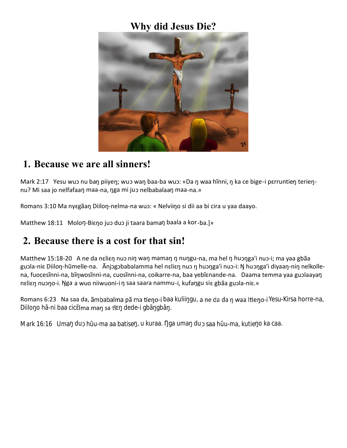### **Why did Jesus Die?**



#### **1. Because we are all sinners!**

Mark 2:17 Yesu wuɔ nu baŋ piiyeŋ; wuɔ waŋ baa-ba wuɔ: «Da ŋ waa hĩnni, ŋ ka ce bige-i pɛrruntieŋ terieŋnu? Mi saa jo nelfafaaŋ maa-na, ŋga mi juɔ nelbabalaaŋ maa-na.»

Romans 3:10 Ma nyɛgãaŋ Diiloŋ-nelma-na wuɔ: « Nelviiŋo si dii aa bi cira u yaa daayo.

Matthew 18:11 Moloŋ-Biɛŋo juɔ duɔ ji taara bamaŋ baala a kor-ba.]»

# **2. Because there is a cost for that sin!**

Matthew 15:18-20 A ne da nɛliɛŋ nuɔ niŋ waŋ mamaŋ ŋ nuŋgu-na, ma hel ŋ huɔŋga'i nuɔ-i; ma yaa gbãa guɔla-niɛ Diiloŋ-hũmelle-na. Ãnjɔgɔbabalamma hel nɛliɛŋ nuɔ ŋ huɔŋga'i nuɔ-i: Ŋ huɔŋga'i diyaaŋ-niŋ nelkolle na, fuocesĩnni-na, bĩŋwosĩnni-na, cuosĩnni-na, coikarre-na, baa yebĩɛnande-na. Daama temma yaa guɔlaayaŋ nɛliɛŋ nuɔŋo-i. Ŋga a wuo niiwuoni-i ŋ saa saara nammu-i, kufaŋgu siɛ gbãa guɔla-niɛ.»

Romans 6:23 Na saa da, ambabalma pa ma tieno-i baa kulii qu, a ne da da n waa Itieno-i Yesu-Kirsa horre-na, Diilo o hã-ni baa cic Ima man sa tĩ dede-i gbã gbã.

Mark 16:16 Uma du hūu-ma aa batise, u kuraa. ga uma du saa hūu-ma, kutie o ka caa.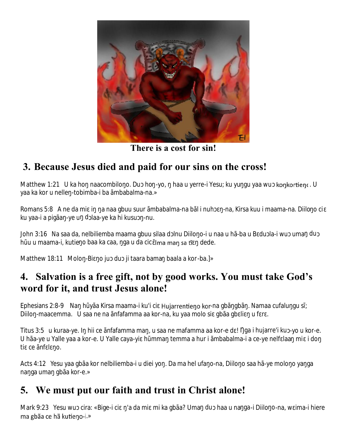

**There is a cost for sin!**

# **3. Because Jesus died and paid for our sins on the cross!**

Matthew 1:21 U ka ho naacombilo o. Du ho -yo, haa u yerre-i Yesu; ku yu gu yaa wu konkortienc. U yaa ka kor u nelle -tobimba-i ba ãmbabalma-na.»

Romans 5:8 A ne da mi i a naa gbuu suur ãmbabalma-na bãl i nuh -na, Kirsa kuu i maama-na. Diilo o ci ku yaa-i a pigãa -ye u d laa-ye ka hi kusu -nu.

John 3:16 Na saa da, nelbiliemba maama gbuu silaa d Inu Diilo o-i u naa u hã-ba u B du la-i wu uma du h u u maama-i, kutie o baa ka caa, ga u da cic Ima man sa tĩ dede.

Matthew 18:11 Molo -Bi o ju du ji taara bama baala a kor-ba.]»

### **4. Salvation is a free gift, not by good works. You must take God's word for it, and trust Jesus alone!**

Ephesians 2:8-9 Na h yãa Kirsa maama-i ku'i ci -Hujarrentieno kor-na gbã gbã. Namaa cufalu qu s; Diilo - maacemma. U saa ne na ãnfafamma aa kor-na, ku yaa molo si gbãa gb li u f r.

Titus 3:5 u kuraa-ye. Ihii ce ãnfafamma ma, u saa ne mafamma aa kor-e d ! ga i hujarre'i ku -yo u kor-e. U hãa-ye u Yalle yaa a kor-e. U Yalle caya-yi h mma temma a hur i ãmbabalma-i a ce-ye nelf laa mi i do ti ce anf l o.

Acts 4:12 Yesu yaa gbãa kor nelbiliemba-i u diei yo . Da ma hel ufa o-na, Diilo o saa hã-ye molo o ya ga na ga uma gbãa kor-e.»

# **5. We must put our faith and trust in Christ alone!**

Mark 9:23 Yesu wu cira: «Bige-i ci /a da mi mi ka gbãa? Uma du haa u na qa-i Diilo o-na, w ima-i hiere ma gbãa ce hã kutieno-i.»